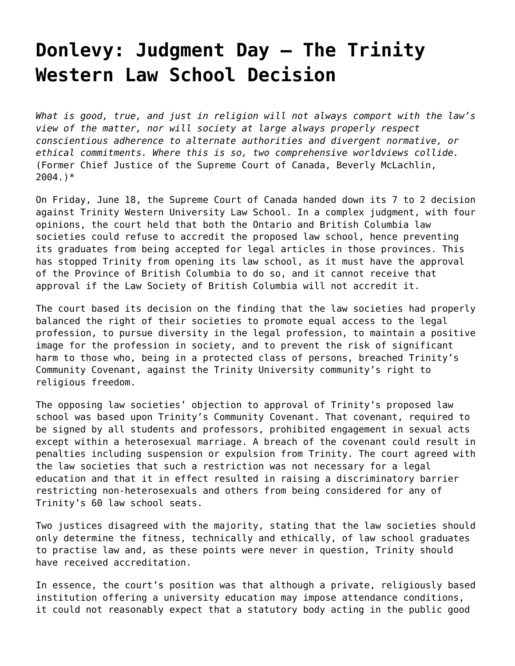## **[Donlevy: Judgment Day – The Trinity](https://grandinmedia.ca/judgment-day-trinity-western-law-school-decision/) [Western Law School Decision](https://grandinmedia.ca/judgment-day-trinity-western-law-school-decision/)**

*What is good, true, and just in religion will not always comport with the law's view of the matter, nor will society at large always properly respect conscientious adherence to alternate authorities and divergent normative, or ethical commitments. Where this is so, two comprehensive worldviews collide.* (Former Chief Justice of the Supreme Court of Canada, Beverly McLachlin, 2004.)\*

On Friday, June 18, the Supreme Court of Canada handed down its 7 to 2 decision against [Trinity Western University Law School.](https://grandinmedia.ca/trinity-western-decision-delivers-severe-blow-religious-freedom-diversity/) In a complex judgment, with four opinions, the court held that both the Ontario and British Columbia law societies could refuse to accredit the proposed law school, hence preventing its graduates from being accepted for legal articles in those provinces. This has stopped Trinity from opening its law school, as it must have the approval of the Province of British Columbia to do so, and it cannot receive that approval if the Law Society of British Columbia will not accredit it.

The court based its decision on the finding that the law societies had properly balanced the right of their societies to promote equal access to the legal profession, to pursue diversity in the legal profession, to maintain a positive image for the profession in society, and to prevent the risk of significant harm to those who, being in a protected class of persons, breached Trinity's Community Covenant, against the Trinity University community's right to religious freedom.

The opposing law societies' objection to approval of Trinity's proposed law school was based upon Trinity's Community Covenant. That covenant, required to be signed by all students and professors, prohibited engagement in sexual acts except within a heterosexual marriage. A breach of the covenant could result in penalties including suspension or expulsion from Trinity. The court agreed with the law societies that such a restriction was not necessary for a legal education and that it in effect resulted in raising a discriminatory barrier restricting non-heterosexuals and others from being considered for any of Trinity's 60 law school seats.

Two justices disagreed with the majority, stating that the law societies should only determine the fitness, technically and ethically, of law school graduates to practise law and, as these points were never in question, Trinity should have received accreditation.

In essence, the court's position was that although a private, religiously based institution offering a university education may impose attendance conditions, it could not reasonably expect that a statutory body acting in the public good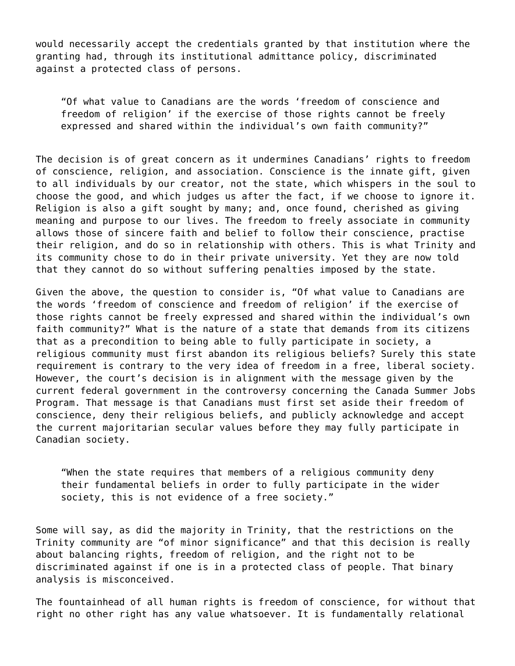would necessarily accept the credentials granted by that institution where the granting had, through its institutional admittance policy, discriminated against a protected class of persons.

"Of what value to Canadians are the words 'freedom of conscience and freedom of religion' if the exercise of those rights cannot be freely expressed and shared within the individual's own faith community?"

The decision is of great concern as it undermines Canadians' rights to freedom of conscience, religion, and association. Conscience is the innate gift, given to all individuals by our creator, not the state, which whispers in the soul to choose the good, and which judges us after the fact, if we choose to ignore it. Religion is also a gift sought by many; and, once found, cherished as giving meaning and purpose to our lives. The freedom to freely associate in community allows those of sincere faith and belief to follow their conscience, practise their religion, and do so in relationship with others. This is what Trinity and its community chose to do in their private university. Yet they are now told that they cannot do so without suffering penalties imposed by the state.

Given the above, the question to consider is, "Of what value to Canadians are the words 'freedom of conscience and freedom of religion' if the exercise of those rights cannot be freely expressed and shared within the individual's own faith community?" What is the nature of a state that demands from its citizens that as a precondition to being able to fully participate in society, a religious community must first abandon its religious beliefs? Surely this state requirement is contrary to the very idea of freedom in a free, liberal society. However, the court's decision is in alignment with the message given by the current federal government in the controversy concerning the Canada Summer Jobs Program. That message is that Canadians must first set aside their freedom of conscience, deny their religious beliefs, and publicly acknowledge and accept the current majoritarian secular values before they may fully participate in Canadian society.

"When the state requires that members of a religious community deny their fundamental beliefs in order to fully participate in the wider society, this is not evidence of a free society."

Some will say, as did the majority in Trinity, that the restrictions on the Trinity community are "of minor significance" and that this decision is really about balancing rights, freedom of religion, and the right not to be discriminated against if one is in a protected class of people. That binary analysis is misconceived.

The fountainhead of all human rights is freedom of conscience, for without that right no other right has any value whatsoever. It is fundamentally relational